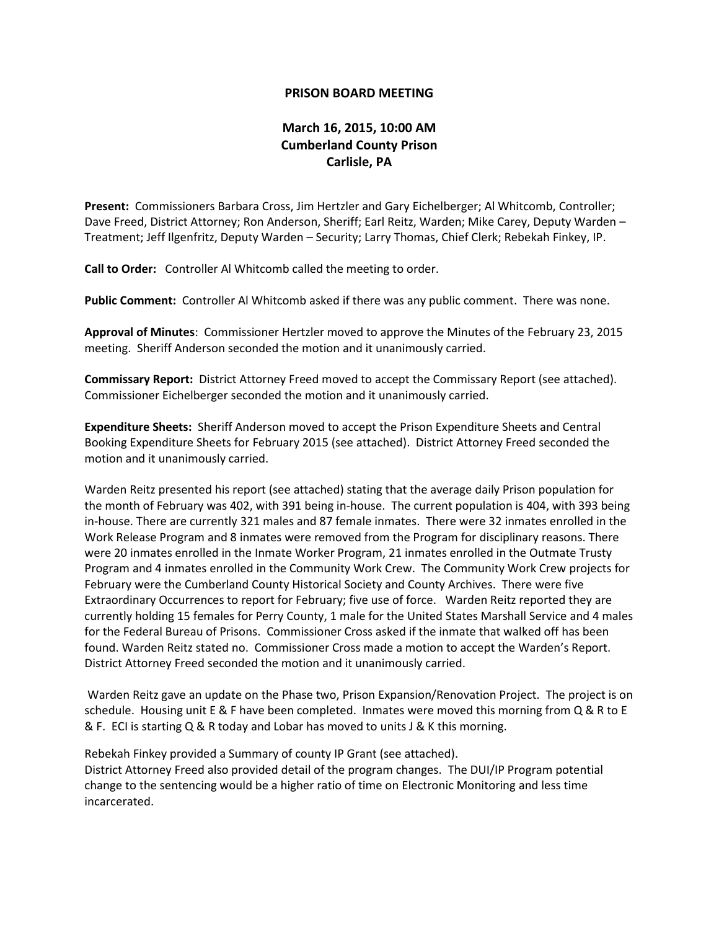## **PRISON BOARD MEETING**

## **March 16, 2015, 10:00 AM Cumberland County Prison Carlisle, PA**

**Present:** Commissioners Barbara Cross, Jim Hertzler and Gary Eichelberger; Al Whitcomb, Controller; Dave Freed, District Attorney; Ron Anderson, Sheriff; Earl Reitz, Warden; Mike Carey, Deputy Warden – Treatment; Jeff Ilgenfritz, Deputy Warden – Security; Larry Thomas, Chief Clerk; Rebekah Finkey, IP.

**Call to Order:** Controller Al Whitcomb called the meeting to order.

**Public Comment:** Controller Al Whitcomb asked if there was any public comment. There was none.

**Approval of Minutes**: Commissioner Hertzler moved to approve the Minutes of the February 23, 2015 meeting. Sheriff Anderson seconded the motion and it unanimously carried.

**Commissary Report:** District Attorney Freed moved to accept the Commissary Report (see attached). Commissioner Eichelberger seconded the motion and it unanimously carried.

**Expenditure Sheets:** Sheriff Anderson moved to accept the Prison Expenditure Sheets and Central Booking Expenditure Sheets for February 2015 (see attached). District Attorney Freed seconded the motion and it unanimously carried.

Warden Reitz presented his report (see attached) stating that the average daily Prison population for the month of February was 402, with 391 being in-house. The current population is 404, with 393 being in-house. There are currently 321 males and 87 female inmates. There were 32 inmates enrolled in the Work Release Program and 8 inmates were removed from the Program for disciplinary reasons. There were 20 inmates enrolled in the Inmate Worker Program, 21 inmates enrolled in the Outmate Trusty Program and 4 inmates enrolled in the Community Work Crew. The Community Work Crew projects for February were the Cumberland County Historical Society and County Archives. There were five Extraordinary Occurrences to report for February; five use of force. Warden Reitz reported they are currently holding 15 females for Perry County, 1 male for the United States Marshall Service and 4 males for the Federal Bureau of Prisons. Commissioner Cross asked if the inmate that walked off has been found. Warden Reitz stated no. Commissioner Cross made a motion to accept the Warden's Report. District Attorney Freed seconded the motion and it unanimously carried.

Warden Reitz gave an update on the Phase two, Prison Expansion/Renovation Project. The project is on schedule. Housing unit E & F have been completed. Inmates were moved this morning from Q & R to E & F. ECI is starting Q & R today and Lobar has moved to units J & K this morning.

Rebekah Finkey provided a Summary of county IP Grant (see attached). District Attorney Freed also provided detail of the program changes. The DUI/IP Program potential change to the sentencing would be a higher ratio of time on Electronic Monitoring and less time incarcerated.